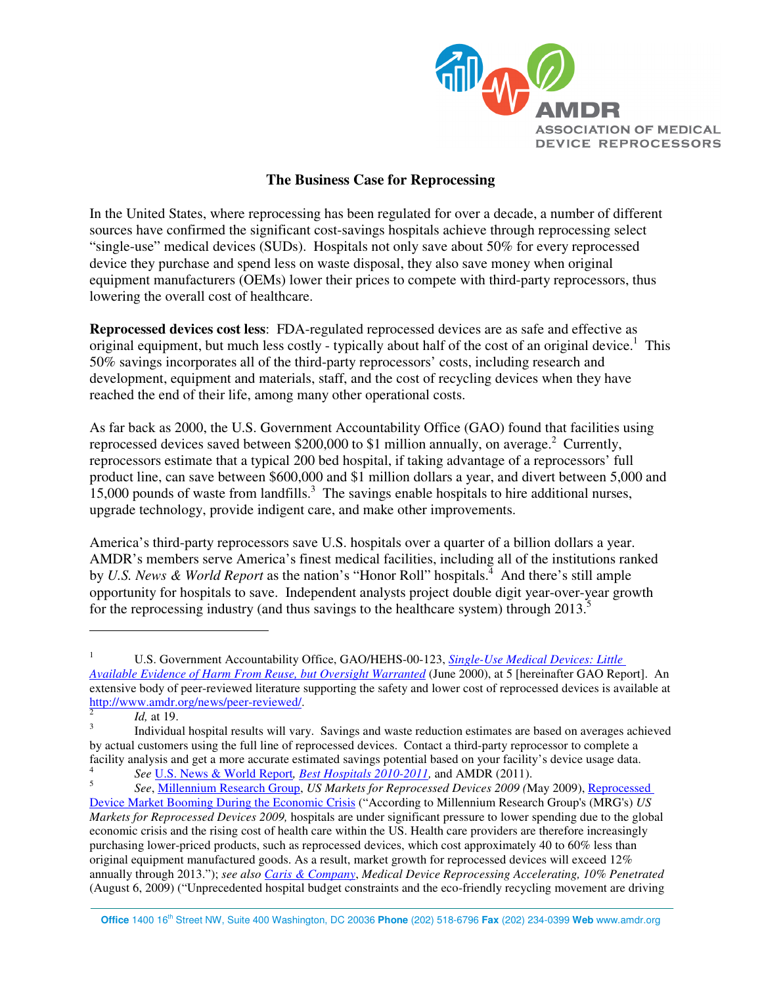

## **The Business Case for Reprocessing**

In the United States, where reprocessing has been regulated for over a decade, a number of different sources have confirmed the significant cost-savings hospitals achieve through reprocessing select "single-use" medical devices (SUDs). Hospitals not only save about 50% for every reprocessed device they purchase and spend less on waste disposal, they also save money when original equipment manufacturers (OEMs) lower their prices to compete with third-party reprocessors, thus lowering the overall cost of healthcare.

**Reprocessed devices cost less**: FDA-regulated reprocessed devices are as safe and effective as original equipment, but much less costly - typically about half of the cost of an original device.<sup>1</sup> This 50% savings incorporates all of the third-party reprocessors' costs, including research and development, equipment and materials, staff, and the cost of recycling devices when they have reached the end of their life, among many other operational costs.

As far back as 2000, the U.S. Government Accountability Office (GAO) found that facilities using reprocessed devices saved between \$200,000 to \$1 million annually, on average.<sup>2</sup> Currently, reprocessors estimate that a typical 200 bed hospital, if taking advantage of a reprocessors' full product line, can save between \$600,000 and \$1 million dollars a year, and divert between 5,000 and  $15,000$  pounds of waste from landfills.<sup>3</sup> The savings enable hospitals to hire additional nurses, upgrade technology, provide indigent care, and make other improvements.

America's third-party reprocessors save U.S. hospitals over a quarter of a billion dollars a year. AMDR's members serve America's finest medical facilities, including all of the institutions ranked by *U.S. News & World Report* as the nation's "Honor Roll" hospitals.<sup>4</sup> And there's still ample opportunity for hospitals to save. Independent analysts project double digit year-over-year growth for the reprocessing industry (and thus savings to the healthcare system) through  $2013$ .<sup>5</sup>

 $\overline{a}$ 

**Office** 1400 16th Street NW, Suite 400 Washington, DC 20036 **Phone** (202) 518-6796 **Fax** (202) 234-0399 **Web** www.amdr.org

<sup>1</sup> U.S. Government Accountability Office, GAO/HEHS-00-123, *Single-Use Medical Devices: Little Available Evidence of Harm From Reuse, but Oversight Warranted* (June 2000), at 5 [hereinafter GAO Report]. An extensive body of peer-reviewed literature supporting the safety and lower cost of reprocessed devices is available at http://www.amdr.org/news/peer-reviewed/.

<sup>2</sup> *Id,* at 19.

<sup>3</sup> Individual hospital results will vary. Savings and waste reduction estimates are based on averages achieved by actual customers using the full line of reprocessed devices. Contact a third-party reprocessor to complete a facility analysis and get a more accurate estimated savings potential based on your facility's device usage data. 4

*See* U.S. News & World Report*, Best Hospitals 2010-2011,* and AMDR (2011). 5

*See*, Millennium Research Group, *US Markets for Reprocessed Devices 2009 (*May 2009), Reprocessed Device Market Booming During the Economic Crisis ("According to Millennium Research Group's (MRG's) *US Markets for Reprocessed Devices 2009,* hospitals are under significant pressure to lower spending due to the global economic crisis and the rising cost of health care within the US. Health care providers are therefore increasingly purchasing lower-priced products, such as reprocessed devices, which cost approximately 40 to 60% less than original equipment manufactured goods. As a result, market growth for reprocessed devices will exceed 12% annually through 2013."); *see also Caris & Company*, *Medical Device Reprocessing Accelerating, 10% Penetrated* (August 6, 2009) ("Unprecedented hospital budget constraints and the eco-friendly recycling movement are driving